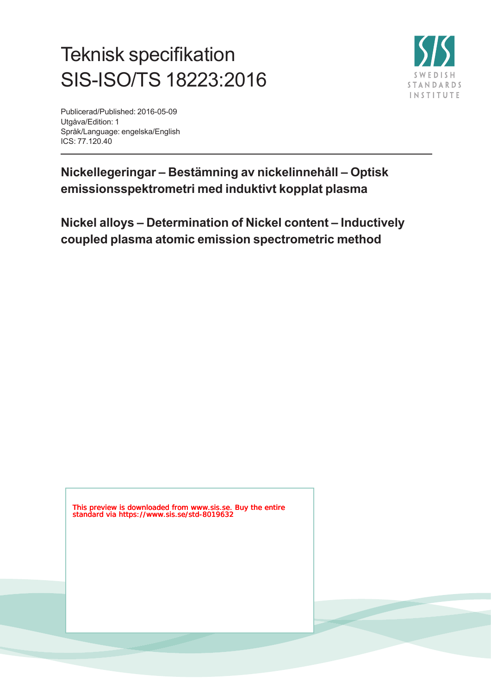# Teknisk specifikation SIS-ISO/TS 18223:2016



Publicerad/Published: 2016-05-09 Utgåva/Edition: 1 Språk/Language: engelska/English ICS: 77.120.40

### **Nickellegeringar – Bestämning av nickelinnehåll – Optisk emissionsspektrometri med induktivt kopplat plasma**

**Nickel alloys – Determination of Nickel content – Inductively coupled plasma atomic emission spectrometric method**

This preview is downloaded from www.sis.se. Buy the entire standard via https://www.sis.se/std-8019632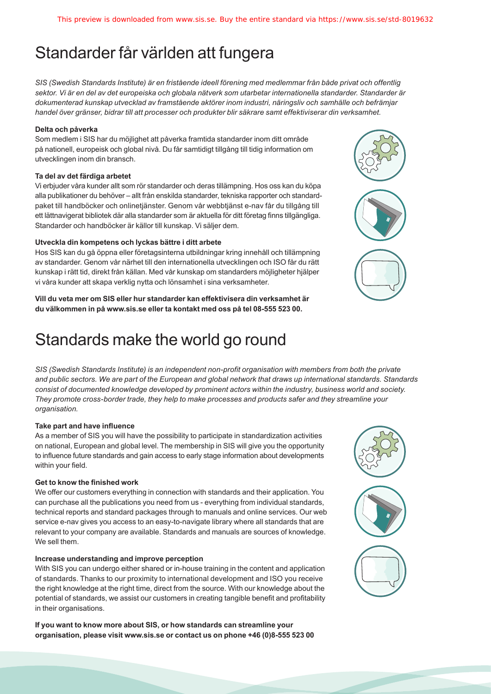## Standarder får världen att fungera

*SIS (Swedish Standards Institute) är en fristående ideell förening med medlemmar från både privat och offentlig sektor. Vi är en del av det europeiska och globala nätverk som utarbetar internationella standarder. Standarder är dokumenterad kunskap utvecklad av framstående aktörer inom industri, näringsliv och samhälle och befrämjar handel över gränser, bidrar till att processer och produkter blir säkrare samt effektiviserar din verksamhet.* 

#### **Delta och påverka**

Som medlem i SIS har du möjlighet att påverka framtida standarder inom ditt område på nationell, europeisk och global nivå. Du får samtidigt tillgång till tidig information om utvecklingen inom din bransch.

#### **Ta del av det färdiga arbetet**

Vi erbjuder våra kunder allt som rör standarder och deras tillämpning. Hos oss kan du köpa alla publikationer du behöver – allt från enskilda standarder, tekniska rapporter och standardpaket till handböcker och onlinetjänster. Genom vår webbtjänst e-nav får du tillgång till ett lättnavigerat bibliotek där alla standarder som är aktuella för ditt företag finns tillgängliga. Standarder och handböcker är källor till kunskap. Vi säljer dem.

#### **Utveckla din kompetens och lyckas bättre i ditt arbete**

Hos SIS kan du gå öppna eller företagsinterna utbildningar kring innehåll och tillämpning av standarder. Genom vår närhet till den internationella utvecklingen och ISO får du rätt kunskap i rätt tid, direkt från källan. Med vår kunskap om standarders möjligheter hjälper vi våra kunder att skapa verklig nytta och lönsamhet i sina verksamheter.

**Vill du veta mer om SIS eller hur standarder kan effektivisera din verksamhet är du välkommen in på www.sis.se eller ta kontakt med oss på tel 08-555 523 00.**

## Standards make the world go round

*SIS (Swedish Standards Institute) is an independent non-profit organisation with members from both the private and public sectors. We are part of the European and global network that draws up international standards. Standards consist of documented knowledge developed by prominent actors within the industry, business world and society. They promote cross-border trade, they help to make processes and products safer and they streamline your organisation.*

#### **Take part and have influence**

As a member of SIS you will have the possibility to participate in standardization activities on national, European and global level. The membership in SIS will give you the opportunity to influence future standards and gain access to early stage information about developments within your field.

#### **Get to know the finished work**

We offer our customers everything in connection with standards and their application. You can purchase all the publications you need from us - everything from individual standards, technical reports and standard packages through to manuals and online services. Our web service e-nav gives you access to an easy-to-navigate library where all standards that are relevant to your company are available. Standards and manuals are sources of knowledge. We sell them.

#### **Increase understanding and improve perception**

With SIS you can undergo either shared or in-house training in the content and application of standards. Thanks to our proximity to international development and ISO you receive the right knowledge at the right time, direct from the source. With our knowledge about the potential of standards, we assist our customers in creating tangible benefit and profitability in their organisations.

**If you want to know more about SIS, or how standards can streamline your organisation, please visit www.sis.se or contact us on phone +46 (0)8-555 523 00**



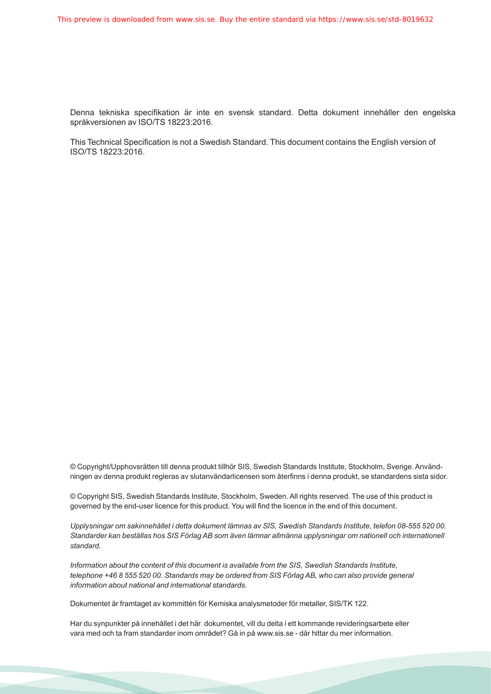Denna tekniska specifikation är inte en svensk standard. Detta dokument innehåller den engelska språkversionen av ISO/TS 18223:2016.

This Technical Specification is not a Swedish Standard. This document contains the English version of ISO/TS 18223:2016.

© Copyright/Upphovsrätten till denna produkt tillhör SIS, Swedish Standards Institute, Stockholm, Sverige. Användningen av denna produkt regleras av slutanvändarlicensen som återfinns i denna produkt, se standardens sista sidor.

© Copyright SIS, Swedish Standards Institute, Stockholm, Sweden. All rights reserved. The use of this product is governed by the end-user licence for this product. You will find the licence in the end of this document.

*Upplysningar om sakinnehållet i detta dokument lämnas av SIS, Swedish Standards Institute, telefon 08-555 520 00. Standarder kan beställas hos SIS Förlag AB som även lämnar allmänna upplysningar om nationell och internationell standard.*

*Information about the content of this document is available from the SIS, Swedish Standards Institute, telephone +46 8 555 520 00. Standards may be ordered from SIS Förlag AB, who can also provide general information about national and international standards.*

Dokumentet är framtaget av kommittén för Kemiska analysmetoder för metaller, SIS/TK 122.

Har du synpunkter på innehållet i det här dokumentet, vill du delta i ett kommande revideringsarbete eller vara med och ta fram standarder inom området? Gå in på www.sis.se - där hittar du mer information.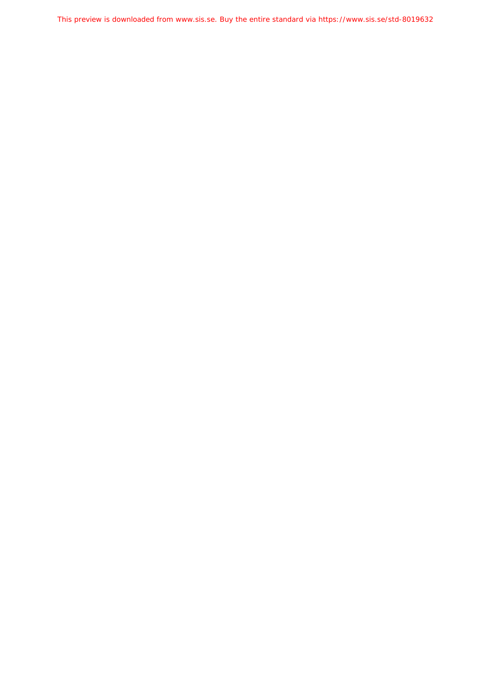This preview is downloaded from www.sis.se. Buy the entire standard via https://www.sis.se/std-8019632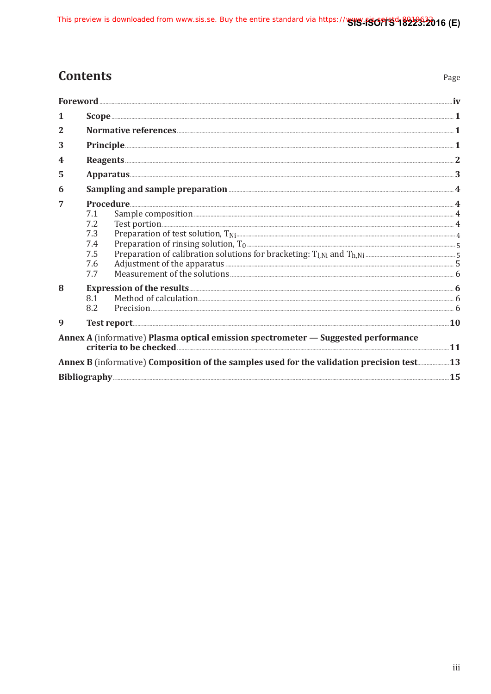## **Contents**

| $\mathbf 2$ |                                                              |                                                                                                                                                                                                                               |    |  |
|-------------|--------------------------------------------------------------|-------------------------------------------------------------------------------------------------------------------------------------------------------------------------------------------------------------------------------|----|--|
| 3           |                                                              |                                                                                                                                                                                                                               |    |  |
| 4           | Reagents <b>Example 2</b>                                    |                                                                                                                                                                                                                               |    |  |
| 5           |                                                              |                                                                                                                                                                                                                               |    |  |
| 6           | Sampling and sample preparation <b>Executive Sample 2018</b> |                                                                                                                                                                                                                               |    |  |
| 7           | 7.1<br>7.2<br>7.3<br>7.4<br>7.5<br>7.6<br>7.7                | Sample composition 2000 and 2000 and 3000 and 3000 and 3000 and 3000 and 3000 and 3000 and 3000 and 3000 and 3000 and 3000 and 3000 and 3000 and 3000 and 3000 and 3000 and 3000 and 3000 and 3000 and 3000 and 3000 and 3000 |    |  |
| 8           | 8.1<br>8.2                                                   | Precision 2008 and 2008 and 2008 and 2008 and 2008 and 2008 and 2008 and 2008 and 2008 and 2008 and 2008 and 2008 and 2008 and 2008 and 2008 and 2008 and 2008 and 2008 and 2008 and 2008 and 2008 and 2008 and 2008 and 2008 |    |  |
| 9           |                                                              |                                                                                                                                                                                                                               |    |  |
|             |                                                              | Annex A (informative) Plasma optical emission spectrometer - Suggested performance                                                                                                                                            | 11 |  |
|             |                                                              | Annex B (informative) Composition of the samples used for the validation precision test13                                                                                                                                     |    |  |
|             |                                                              | Bibliography <u>Electron 25</u>                                                                                                                                                                                               |    |  |

Page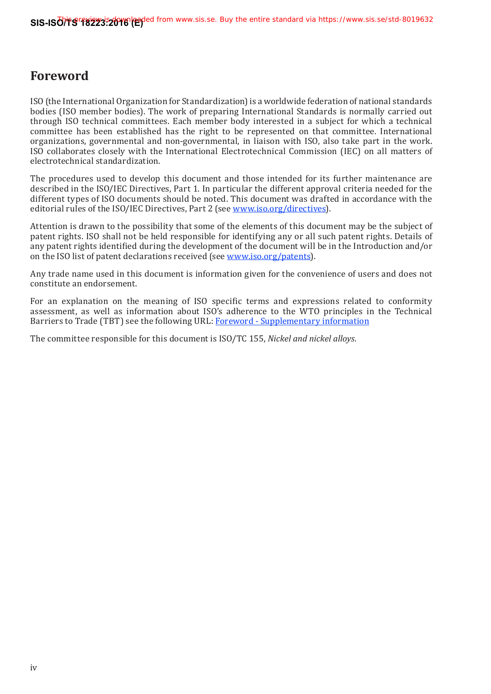### <span id="page-5-0"></span>**Foreword**

ISO (the International Organization for Standardization) is a worldwide federation of national standards bodies (ISO member bodies). The work of preparing International Standards is normally carried out through ISO technical committees. Each member body interested in a subject for which a technical committee has been established has the right to be represented on that committee. International organizations, governmental and non-governmental, in liaison with ISO, also take part in the work. ISO collaborates closely with the International Electrotechnical Commission (IEC) on all matters of electrotechnical standardization.

The procedures used to develop this document and those intended for its further maintenance are described in the ISO/IEC Directives, Part 1. In particular the different approval criteria needed for the different types of ISO documents should be noted. This document was drafted in accordance with the editorial rules of the ISO/IEC Directives, Part 2 (see [www.iso.org/directives\)](http://www.iso.org/directives).

Attention is drawn to the possibility that some of the elements of this document may be the subject of patent rights. ISO shall not be held responsible for identifying any or all such patent rights. Details of any patent rights identified during the development of the document will be in the Introduction and/or on the ISO list of patent declarations received (see [www.iso.org/patents](http://www.iso.org/patents)).

Any trade name used in this document is information given for the convenience of users and does not constitute an endorsement.

For an explanation on the meaning of ISO specific terms and expressions related to conformity assessment, as well as information about ISO's adherence to the WTO principles in the Technical Barriers to Trade (TBT) see the following URL: [Foreword - Supplementary information](http://www.iso.org/iso/home/standards_development/resources-for-technical-work/foreword.htm)

The committee responsible for this document is ISO/TC 155, *Nickel and nickel alloys*.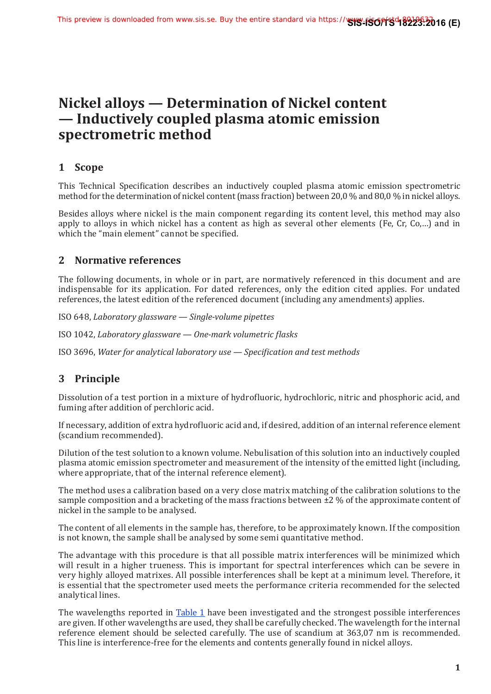### <span id="page-6-0"></span>**Nickel alloys — Determination of Nickel content — Inductively coupled plasma atomic emission spectrometric method**

#### **1 Scope**

This Technical Specification describes an inductively coupled plasma atomic emission spectrometric method for the determination of nickel content (mass fraction) between 20,0 % and 80,0 % in nickel alloys.

Besides alloys where nickel is the main component regarding its content level, this method may also apply to alloys in which nickel has a content as high as several other elements (Fe, Cr, Co,…) and in which the "main element" cannot be specified.

#### **2 Normative references**

The following documents, in whole or in part, are normatively referenced in this document and are indispensable for its application. For dated references, only the edition cited applies. For undated references, the latest edition of the referenced document (including any amendments) applies.

ISO 648, *Laboratory glassware — Single-volume pipettes*

ISO 1042, *Laboratory glassware — One-mark volumetric flasks*

ISO 3696, *Water for analytical laboratory use — Specification and test methods*

#### **3 Principle**

Dissolution of a test portion in a mixture of hydrofluoric, hydrochloric, nitric and phosphoric acid, and fuming after addition of perchloric acid.

If necessary, addition of extra hydrofluoric acid and, if desired, addition of an internal reference element (scandium recommended).

Dilution of the test solution to a known volume. Nebulisation of this solution into an inductively coupled plasma atomic emission spectrometer and measurement of the intensity of the emitted light (including, where appropriate, that of the internal reference element).

The method uses a calibration based on a very close matrix matching of the calibration solutions to the sample composition and a bracketing of the mass fractions between ±2 % of the approximate content of nickel in the sample to be analysed.

The content of all elements in the sample has, therefore, to be approximately known. If the composition is not known, the sample shall be analysed by some semi quantitative method.

The advantage with this procedure is that all possible matrix interferences will be minimized which will result in a higher trueness. This is important for spectral interferences which can be severe in very highly alloyed matrixes. All possible interferences shall be kept at a minimum level. Therefore, it is essential that the spectrometer used meets the performance criteria recommended for the selected analytical lines.

The wavelengths reported in [Table](#page-7-1) 1 have been investigated and the strongest possible interferences are given. If other wavelengths are used, they shall be carefully checked. The wavelength for the internal reference element should be selected carefully. The use of scandium at 363,07 nm is recommended. This line is interference-free for the elements and contents generally found in nickel alloys.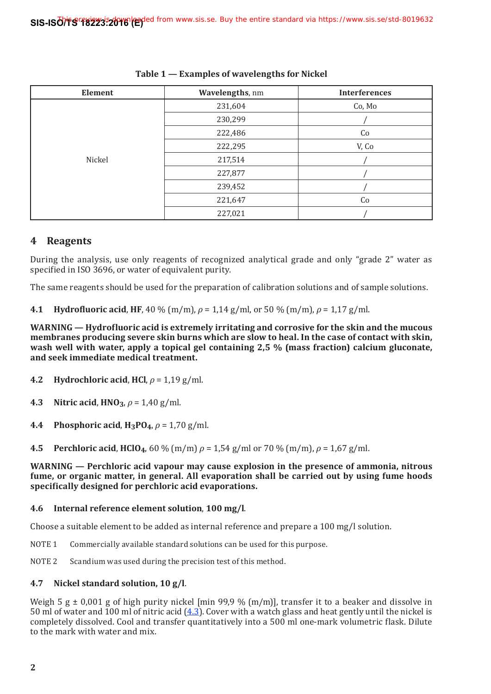<span id="page-7-0"></span>

| <b>Element</b> | Wavelengths, nm | <b>Interferences</b> |
|----------------|-----------------|----------------------|
|                | 231,604         | Co, Mo               |
|                | 230,299         |                      |
|                | 222,486         | Co                   |
|                | 222,295         | V, Co                |
| Nickel         | 217,514         |                      |
|                | 227,877         |                      |
|                | 239,452         |                      |
|                | 221,647         | Co                   |
|                | 227,021         |                      |

#### <span id="page-7-1"></span>**Table 1 — Examples of wavelengths for Nickel**

#### **4 Reagents**

During the analysis, use only reagents of recognized analytical grade and only "grade 2" water as specified in ISO 3696, or water of equivalent purity.

The same reagents should be used for the preparation of calibration solutions and of sample solutions.

<span id="page-7-3"></span>**4.1 Hydrofluoric acid**, **HF**, 40 % (m/m), *ρ* = 1,14 g/ml, or 50 % (m/m), *ρ* = 1,17 g/ml.

**WARNING — Hydrofluoric acid is extremely irritating and corrosive for the skin and the mucous membranes producing severe skin burns which are slow to heal. In the case of contact with skin, wash well with water, apply a topical gel containing 2,5 % (mass fraction) calcium gluconate, and seek immediate medical treatment.**

- <span id="page-7-4"></span>**4.2 Hydrochloric acid**, **HCl**, *ρ* = 1,19 g/ml.
- <span id="page-7-2"></span>**4.3 Nitric acid,**  $HNO_3$ **,**  $\rho = 1.40$  **g/ml.**
- <span id="page-7-5"></span>**4.4 Phosphoric acid**, **H3PO4**, *ρ* = 1,70 g/ml.
- <span id="page-7-6"></span>**4.5 Perchloric acid**, **HClO4**, 60 % (m/m) *ρ* = 1,54 g/ml or 70 % (m/m), *ρ* = 1,67 g/ml.

**WARNING — Perchloric acid vapour may cause explosion in the presence of ammonia, nitrous fume, or organic matter, in general. All evaporation shall be carried out by using fume hoods specifically designed for perchloric acid evaporations.**

#### <span id="page-7-7"></span>**4.6 Internal reference element solution**, **100 mg/l**.

Choose a suitable element to be added as internal reference and prepare a 100 mg/l solution.

- NOTE 1 Commercially available standard solutions can be used for this purpose.
- NOTE 2 Scandium was used during the precision test of this method.

#### <span id="page-7-8"></span>**4.7 Nickel standard solution, 10 g/l**.

Weigh 5 g  $\pm$  0,001 g of high purity nickel [min 99,9 % (m/m)], transfer it to a beaker and dissolve in 50 ml of water and 100 ml of nitric acid [\(4.3](#page-7-2)). Cover with a watch glass and heat gently until the nickel is completely dissolved. Cool and transfer quantitatively into a 500 ml one-mark volumetric flask. Dilute to the mark with water and mix.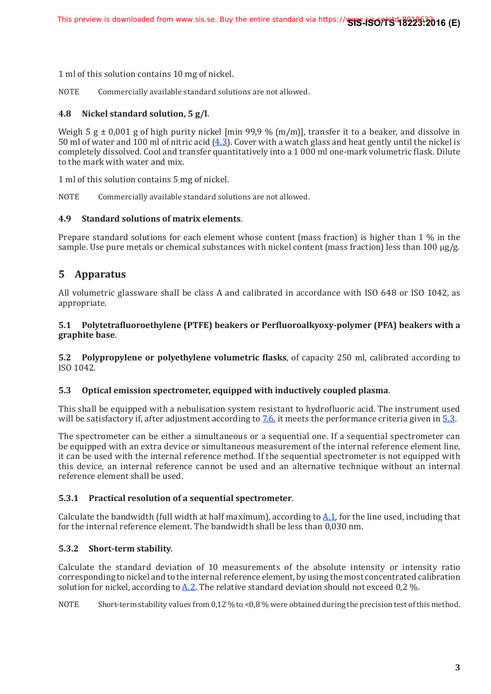<span id="page-8-0"></span>1 ml of this solution contains 10 mg of nickel.

NOTE Commercially available standard solutions are not allowed.

#### <span id="page-8-4"></span>**4.8 Nickel standard solution, 5 g/l**.

Weigh 5 g  $\pm$  0,001 g of high purity nickel [min 99,9 % (m/m)], transfer it to a beaker, and dissolve in 50 ml of water and 100 ml of nitric acid [\(4.3](#page-7-2)). Cover with a watch glass and heat gently until the nickel is completely dissolved. Cool and transfer quantitatively into a 1 000 ml one-mark volumetric flask. Dilute to the mark with water and mix.

1 ml of this solution contains 5 mg of nickel.

NOTE Commercially available standard solutions are not allowed.

#### <span id="page-8-5"></span>**4.9 Standard solutions of matrix elements**.

Prepare standard solutions for each element whose content (mass fraction) is higher than 1 % in the sample. Use pure metals or chemical substances with nickel content (mass fraction) less than 100 μg/g.

#### **5 Apparatus**

All volumetric glassware shall be class A and calibrated in accordance with ISO 648 or ISO 1042, as appropriate.

#### <span id="page-8-2"></span>**5.1 Polytetrafluoroethylene (PTFE) beakers or Perfluoroalkyoxy-polymer (PFA) beakers with a graphite base**.

<span id="page-8-3"></span>**5.2 Polypropylene or polyethylene volumetric flasks**, of capacity 250 ml, calibrated according to ISO 1042.

#### <span id="page-8-1"></span>**5.3 Optical emission spectrometer, equipped with inductively coupled plasma**.

This shall be equipped with a nebulisation system resistant to hydrofluoric acid. The instrument used will be satisfactory if, after adjustment according to [7.6](#page-10-1), it meets the performance criteria given in [5.3.](#page-8-1)

The spectrometer can be either a simultaneous or a sequential one. If a sequential spectrometer can be equipped with an extra device or simultaneous measurement of the internal reference element line, it can be used with the internal reference method. If the sequential spectrometer is not equipped with this device, an internal reference cannot be used and an alternative technique without an internal reference element shall be used.

#### **5.3.1 Practical resolution of a sequential spectrometer**.

Calculate the bandwidth (full width at half maximum), according to  $A.1$ , for the line used, including that for the internal reference element. The bandwidth shall be less than 0,030 nm.

#### **5.3.2 Short-term stability**.

Calculate the standard deviation of 10 measurements of the absolute intensity or intensity ratio corresponding to nickel and to the internal reference element, by using the most concentrated calibration solution for nickel, according to A.2. The relative standard deviation should not exceed 0,2 %.

NOTE Short-term stability values from 0,12 % to <0,8 % were obtained during the precision test of this method.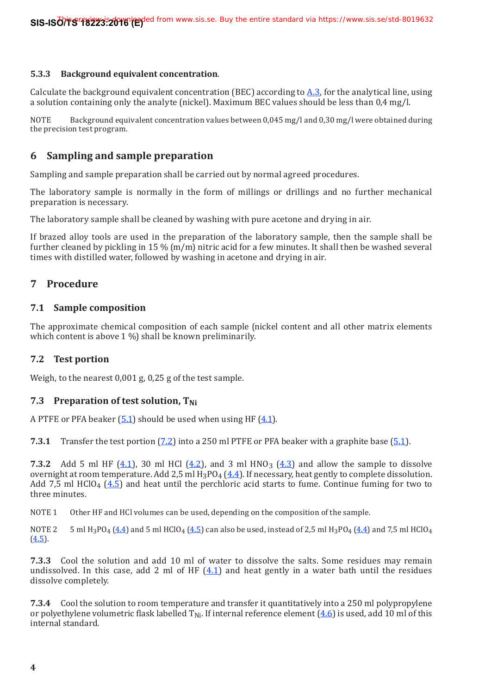#### <span id="page-9-0"></span>**5.3.3 Background equivalent concentration**.

Calculate the background equivalent concentration (BEC) according to  $A.3$ , for the analytical line, using a solution containing only the analyte (nickel). Maximum BEC values should be less than 0,4 mg/l.

NOTE Background equivalent concentration values between 0,045 mg/l and 0,30 mg/l were obtained during the precision test program.

#### **6 Sampling and sample preparation**

Sampling and sample preparation shall be carried out by normal agreed procedures.

The laboratory sample is normally in the form of millings or drillings and no further mechanical preparation is necessary.

The laboratory sample shall be cleaned by washing with pure acetone and drying in air.

If brazed alloy tools are used in the preparation of the laboratory sample, then the sample shall be further cleaned by pickling in 15 % (m/m) nitric acid for a few minutes. It shall then be washed several times with distilled water, followed by washing in acetone and drying in air.

#### **7 Procedure**

#### **7.1 Sample composition**

The approximate chemical composition of each sample (nickel content and all other matrix elements which content is above 1 %) shall be known preliminarily.

#### <span id="page-9-1"></span>**7.2 Test portion**

Weigh, to the nearest 0,001 g, 0,25 g of the test sample.

#### **7.3** Preparation of test solution,  $T_{\text{Ni}}$

A PTFE or PFA beaker  $(5.1)$  should be used when using HF  $(4.1)$  $(4.1)$ .

**7.3.1** Transfer the test portion [\(7.2\)](#page-9-1) into a 250 ml PTFE or PFA beaker with a graphite base ([5.1](#page-8-2)).

**7.3.2** Add 5 ml HF  $(4.1)$  $(4.1)$  $(4.1)$ , 30 ml HCl  $(4.2)$  $(4.2)$  $(4.2)$ , and 3 ml HNO<sub>3</sub>  $(4.3)$  $(4.3)$  and allow the sample to dissolve overnight at room temperature. Add 2,5 ml  $H_3PO_4$  ([4.4](#page-7-5)). If necessary, heat gently to complete dissolution. Add 7,5 ml HClO<sub>4</sub>  $(4.5)$  and heat until the perchloric acid starts to fume. Continue fuming for two to three minutes.

NOTE 1 Other HF and HCl volumes can be used, depending on the composition of the sample.

NOTE 2 5 ml H<sub>3</sub>PO<sub>4</sub> [\(4.4\)](#page-7-5) and 5 ml HClO<sub>4</sub> [\(4.5\)](#page-7-6) can also be used, instead of 2.5 ml H<sub>3</sub>PO<sub>4</sub> [\(4.4](#page-7-5)) and 7.5 ml HClO<sub>4</sub> [\(4.5\)](#page-7-6).

<span id="page-9-2"></span>**7.3.3** Cool the solution and add 10 ml of water to dissolve the salts. Some residues may remain undissolved. In this case, add 2 ml of HF  $(4.1)$  $(4.1)$  $(4.1)$  and heat gently in a water bath until the residues dissolve completely.

**7.3.4** Cool the solution to room temperature and transfer it quantitatively into a 250 ml polypropylene or polyethylene volumetric flask labelled  $T_{Ni}$ . If internal reference element  $(4.6)$  $(4.6)$  $(4.6)$  is used, add 10 ml of this internal standard.